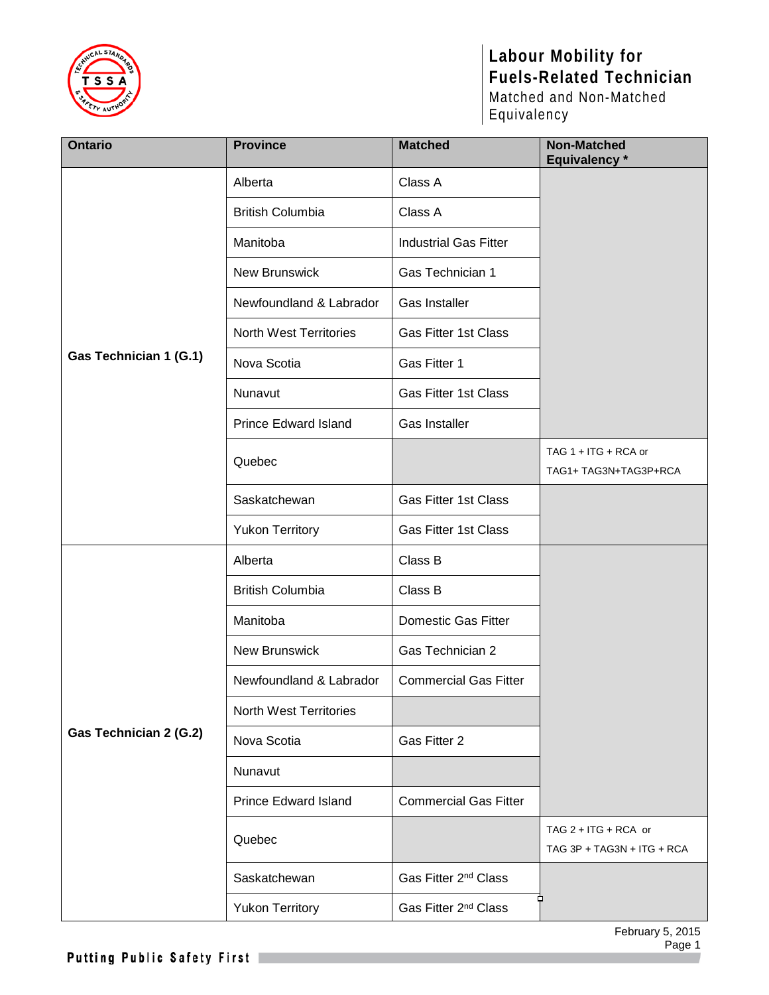

| <b>Ontario</b>         | <b>Province</b>               | <b>Matched</b>                   | <b>Non-Matched</b><br>Equivalency *                  |
|------------------------|-------------------------------|----------------------------------|------------------------------------------------------|
|                        | Alberta                       | Class A                          |                                                      |
|                        | <b>British Columbia</b>       | Class A                          |                                                      |
|                        | Manitoba                      | <b>Industrial Gas Fitter</b>     |                                                      |
|                        | <b>New Brunswick</b>          | Gas Technician 1                 |                                                      |
|                        | Newfoundland & Labrador       | Gas Installer                    |                                                      |
|                        | <b>North West Territories</b> | <b>Gas Fitter 1st Class</b>      |                                                      |
| Gas Technician 1 (G.1) | Nova Scotia                   | Gas Fitter 1                     |                                                      |
|                        | Nunavut                       | <b>Gas Fitter 1st Class</b>      |                                                      |
|                        | <b>Prince Edward Island</b>   | Gas Installer                    |                                                      |
|                        | Quebec                        |                                  | TAG 1 + ITG + RCA or<br>TAG1+ TAG3N+TAG3P+RCA        |
|                        | Saskatchewan                  | <b>Gas Fitter 1st Class</b>      |                                                      |
|                        | <b>Yukon Territory</b>        | <b>Gas Fitter 1st Class</b>      |                                                      |
|                        | Alberta                       | Class B                          |                                                      |
|                        | <b>British Columbia</b>       | Class B                          |                                                      |
|                        | Manitoba                      | <b>Domestic Gas Fitter</b>       |                                                      |
|                        | <b>New Brunswick</b>          | Gas Technician 2                 |                                                      |
|                        | Newfoundland & Labrador       | <b>Commercial Gas Fitter</b>     |                                                      |
|                        | <b>North West Territories</b> |                                  |                                                      |
| Gas Technician 2 (G.2) | Nova Scotia                   | Gas Fitter 2                     |                                                      |
|                        | Nunavut                       |                                  |                                                      |
|                        | <b>Prince Edward Island</b>   | <b>Commercial Gas Fitter</b>     |                                                      |
|                        | Quebec                        |                                  | TAG $2 + ITG + RCA$ or<br>TAG 3P + TAG3N + ITG + RCA |
|                        | Saskatchewan                  | Gas Fitter 2 <sup>nd</sup> Class |                                                      |
|                        | <b>Yukon Territory</b>        | Gas Fitter 2 <sup>nd</sup> Class |                                                      |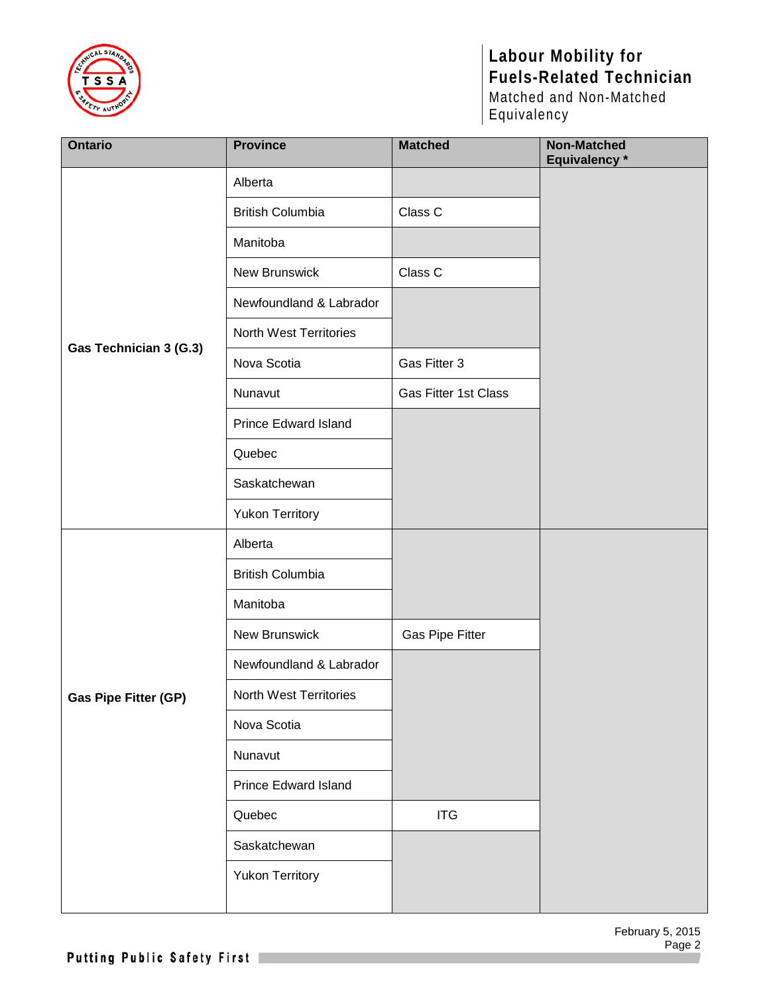

| <b>Ontario</b>              | <b>Province</b>               | <b>Matched</b>              | <b>Non-Matched</b><br>Equivalency * |
|-----------------------------|-------------------------------|-----------------------------|-------------------------------------|
|                             | Alberta                       |                             |                                     |
|                             | <b>British Columbia</b>       | Class C                     |                                     |
|                             | Manitoba                      |                             |                                     |
|                             | New Brunswick                 | Class C                     |                                     |
|                             | Newfoundland & Labrador       |                             |                                     |
| Gas Technician 3 (G.3)      | <b>North West Territories</b> |                             |                                     |
|                             | Nova Scotia                   | Gas Fitter 3                |                                     |
|                             | Nunavut                       | <b>Gas Fitter 1st Class</b> |                                     |
|                             | <b>Prince Edward Island</b>   |                             |                                     |
|                             | Quebec                        |                             |                                     |
|                             | Saskatchewan                  |                             |                                     |
|                             | <b>Yukon Territory</b>        |                             |                                     |
|                             | Alberta                       |                             |                                     |
|                             | <b>British Columbia</b>       |                             |                                     |
|                             | Manitoba                      |                             |                                     |
|                             | New Brunswick                 | Gas Pipe Fitter             |                                     |
|                             | Newfoundland & Labrador       |                             |                                     |
| <b>Gas Pipe Fitter (GP)</b> | North West Territories        |                             |                                     |
|                             | Nova Scotia                   |                             |                                     |
|                             | Nunavut                       |                             |                                     |
|                             | <b>Prince Edward Island</b>   |                             |                                     |
|                             | Quebec                        | <b>ITG</b>                  |                                     |
|                             | Saskatchewan                  |                             |                                     |
|                             | <b>Yukon Territory</b>        |                             |                                     |
|                             |                               |                             |                                     |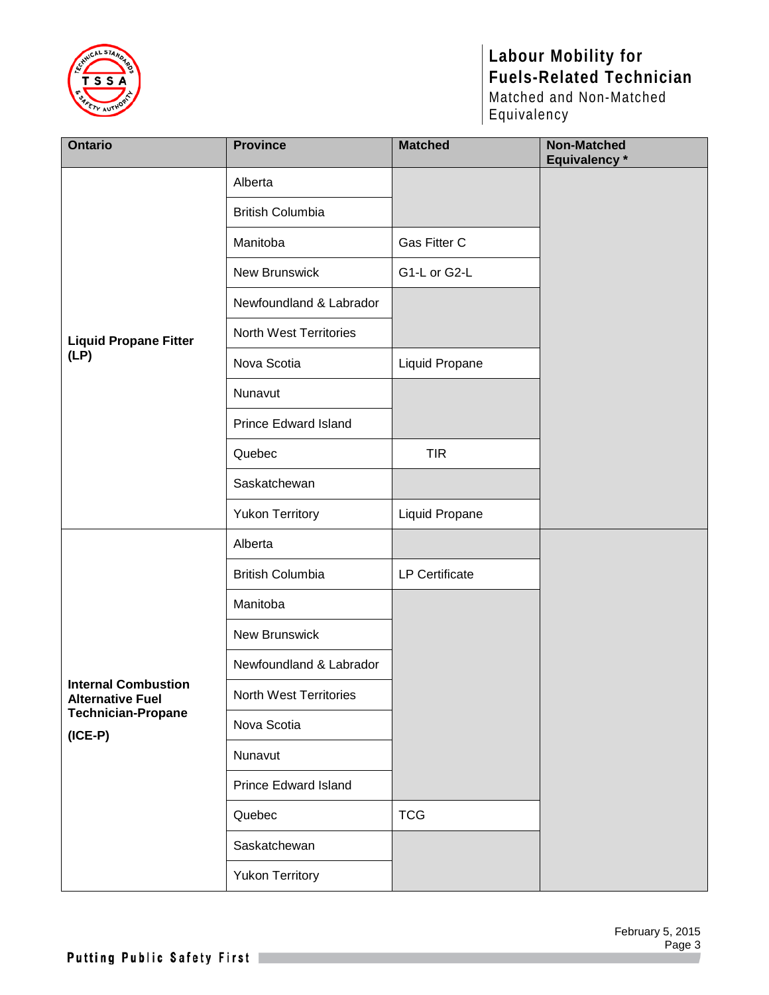

| <b>Ontario</b>                                        | <b>Province</b>               | <b>Matched</b>        | <b>Non-Matched</b><br>Equivalency * |
|-------------------------------------------------------|-------------------------------|-----------------------|-------------------------------------|
|                                                       | Alberta                       |                       |                                     |
|                                                       | <b>British Columbia</b>       |                       |                                     |
|                                                       | Manitoba                      | Gas Fitter C          |                                     |
|                                                       | <b>New Brunswick</b>          | G1-L or G2-L          |                                     |
|                                                       | Newfoundland & Labrador       |                       |                                     |
| <b>Liquid Propane Fitter</b>                          | <b>North West Territories</b> |                       |                                     |
| (LP)                                                  | Nova Scotia                   | Liquid Propane        |                                     |
|                                                       | Nunavut                       |                       |                                     |
|                                                       | <b>Prince Edward Island</b>   |                       |                                     |
|                                                       | Quebec                        | <b>TIR</b>            |                                     |
|                                                       | Saskatchewan                  |                       |                                     |
|                                                       | <b>Yukon Territory</b>        | Liquid Propane        |                                     |
|                                                       | Alberta                       |                       |                                     |
|                                                       | <b>British Columbia</b>       | <b>LP Certificate</b> |                                     |
|                                                       | Manitoba                      |                       |                                     |
|                                                       | <b>New Brunswick</b>          |                       |                                     |
|                                                       | Newfoundland & Labrador       |                       |                                     |
| <b>Internal Combustion</b><br><b>Alternative Fuel</b> | North West Territories        |                       |                                     |
| <b>Technician-Propane</b><br>$(ICE-P)$                | Nova Scotia                   |                       |                                     |
|                                                       | Nunavut                       |                       |                                     |
|                                                       | <b>Prince Edward Island</b>   |                       |                                     |
|                                                       | Quebec                        | <b>TCG</b>            |                                     |
|                                                       | Saskatchewan                  |                       |                                     |
|                                                       | <b>Yukon Territory</b>        |                       |                                     |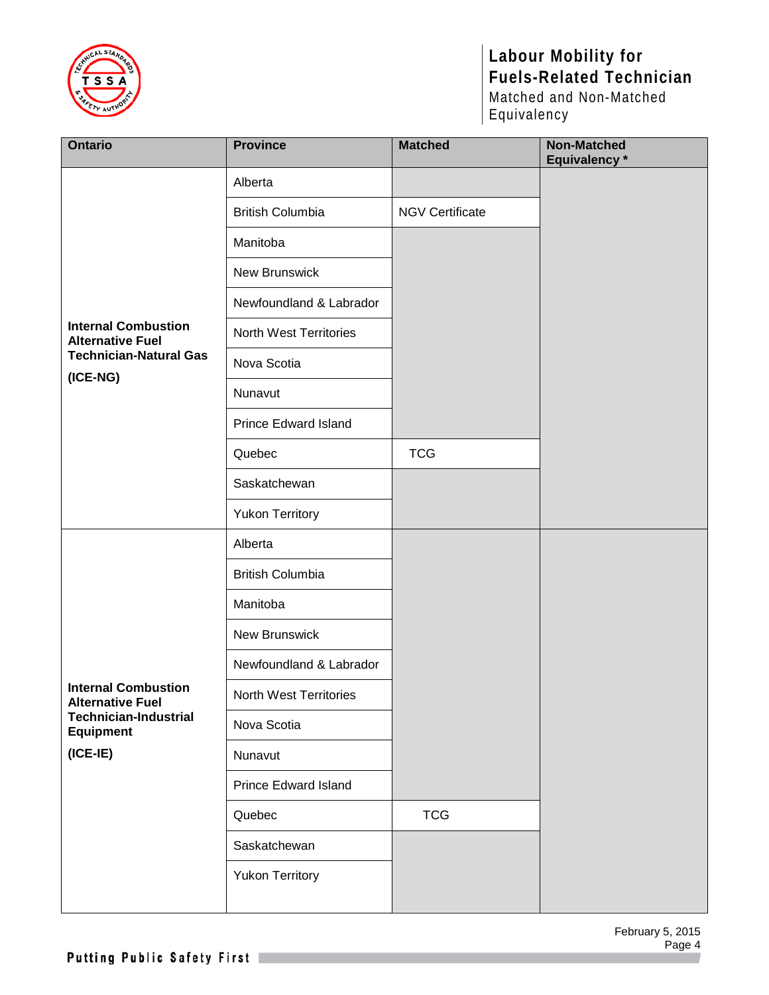

| <b>Ontario</b>                                                 | <b>Province</b>               | <b>Matched</b>         | <b>Non-Matched</b><br>Equivalency * |
|----------------------------------------------------------------|-------------------------------|------------------------|-------------------------------------|
|                                                                | Alberta                       |                        |                                     |
|                                                                | <b>British Columbia</b>       | <b>NGV Certificate</b> |                                     |
|                                                                | Manitoba                      |                        |                                     |
|                                                                | New Brunswick                 |                        |                                     |
|                                                                | Newfoundland & Labrador       |                        |                                     |
| <b>Internal Combustion</b><br><b>Alternative Fuel</b>          | <b>North West Territories</b> |                        |                                     |
| <b>Technician-Natural Gas</b><br>$(ICE-NG)$                    | Nova Scotia                   |                        |                                     |
|                                                                | Nunavut                       |                        |                                     |
|                                                                | <b>Prince Edward Island</b>   |                        |                                     |
|                                                                | Quebec                        | <b>TCG</b>             |                                     |
|                                                                | Saskatchewan                  |                        |                                     |
|                                                                | <b>Yukon Territory</b>        |                        |                                     |
|                                                                | Alberta                       |                        |                                     |
|                                                                | <b>British Columbia</b>       |                        |                                     |
|                                                                | Manitoba                      |                        |                                     |
|                                                                | <b>New Brunswick</b>          |                        |                                     |
|                                                                | Newfoundland & Labrador       |                        |                                     |
| <b>Internal Combustion</b><br><b>Alternative Fuel</b>          | <b>North West Territories</b> |                        |                                     |
| <b>Technician-Industrial</b><br><b>Equipment</b><br>$(ICE-IE)$ | Nova Scotia                   |                        |                                     |
|                                                                | Nunavut                       |                        |                                     |
|                                                                | <b>Prince Edward Island</b>   |                        |                                     |
|                                                                | Quebec                        | <b>TCG</b>             |                                     |
|                                                                | Saskatchewan                  |                        |                                     |
|                                                                | <b>Yukon Territory</b>        |                        |                                     |
|                                                                |                               |                        |                                     |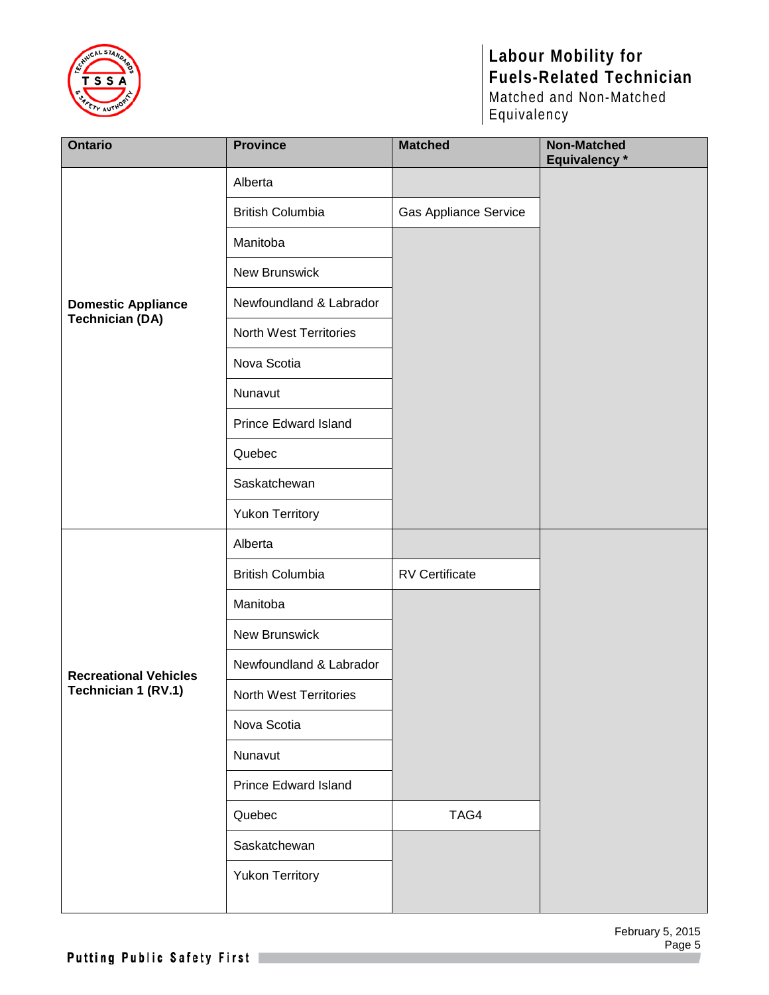

| <b>Ontario</b>               | <b>Province</b>               | <b>Matched</b>               | <b>Non-Matched</b><br>Equivalency * |
|------------------------------|-------------------------------|------------------------------|-------------------------------------|
|                              | Alberta                       |                              |                                     |
|                              | <b>British Columbia</b>       | <b>Gas Appliance Service</b> |                                     |
|                              | Manitoba                      |                              |                                     |
|                              | <b>New Brunswick</b>          |                              |                                     |
| <b>Domestic Appliance</b>    | Newfoundland & Labrador       |                              |                                     |
| <b>Technician (DA)</b>       | <b>North West Territories</b> |                              |                                     |
|                              | Nova Scotia                   |                              |                                     |
|                              | Nunavut                       |                              |                                     |
|                              | <b>Prince Edward Island</b>   |                              |                                     |
|                              | Quebec                        |                              |                                     |
|                              | Saskatchewan                  |                              |                                     |
|                              | <b>Yukon Territory</b>        |                              |                                     |
|                              | Alberta                       |                              |                                     |
|                              | <b>British Columbia</b>       | <b>RV Certificate</b>        |                                     |
|                              | Manitoba                      |                              |                                     |
|                              | New Brunswick                 |                              |                                     |
| <b>Recreational Vehicles</b> | Newfoundland & Labrador       |                              |                                     |
| Technician 1 (RV.1)          | <b>North West Territories</b> |                              |                                     |
|                              | Nova Scotia                   |                              |                                     |
|                              | Nunavut                       |                              |                                     |
|                              | <b>Prince Edward Island</b>   |                              |                                     |
|                              | Quebec                        | TAG4                         |                                     |
|                              | Saskatchewan                  |                              |                                     |
|                              | <b>Yukon Territory</b>        |                              |                                     |
|                              |                               |                              |                                     |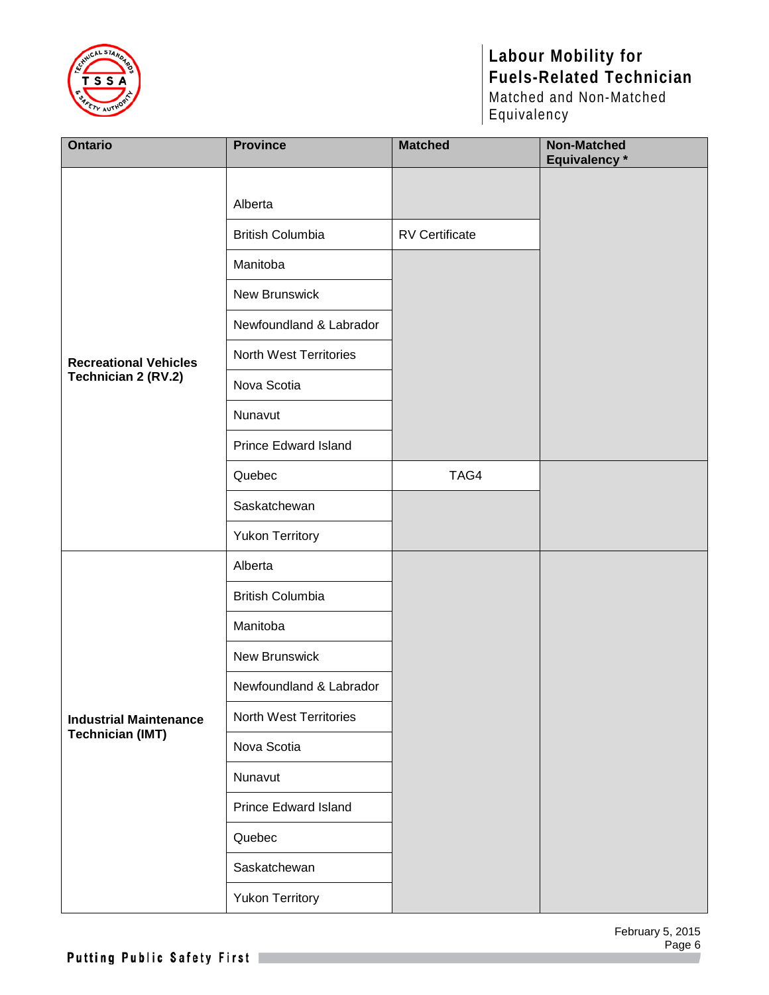

| <b>Ontario</b>                                           | <b>Province</b>               | <b>Matched</b>        | <b>Non-Matched</b><br>Equivalency * |
|----------------------------------------------------------|-------------------------------|-----------------------|-------------------------------------|
|                                                          |                               |                       |                                     |
|                                                          | Alberta                       |                       |                                     |
|                                                          | <b>British Columbia</b>       | <b>RV Certificate</b> |                                     |
|                                                          | Manitoba                      |                       |                                     |
|                                                          | <b>New Brunswick</b>          |                       |                                     |
|                                                          | Newfoundland & Labrador       |                       |                                     |
| <b>Recreational Vehicles</b>                             | <b>North West Territories</b> |                       |                                     |
| Technician 2 (RV.2)                                      | Nova Scotia                   |                       |                                     |
|                                                          | Nunavut                       |                       |                                     |
|                                                          | <b>Prince Edward Island</b>   |                       |                                     |
|                                                          | Quebec                        | TAG4                  |                                     |
|                                                          | Saskatchewan                  |                       |                                     |
|                                                          | <b>Yukon Territory</b>        |                       |                                     |
|                                                          | Alberta                       |                       |                                     |
|                                                          | <b>British Columbia</b>       |                       |                                     |
|                                                          | Manitoba                      |                       |                                     |
|                                                          | New Brunswick                 |                       |                                     |
|                                                          | Newfoundland & Labrador       |                       |                                     |
| <b>Industrial Maintenance</b><br><b>Technician (IMT)</b> | <b>North West Territories</b> |                       |                                     |
|                                                          | Nova Scotia                   |                       |                                     |
|                                                          | Nunavut                       |                       |                                     |
|                                                          | <b>Prince Edward Island</b>   |                       |                                     |
|                                                          | Quebec                        |                       |                                     |
|                                                          | Saskatchewan                  |                       |                                     |
|                                                          | <b>Yukon Territory</b>        |                       |                                     |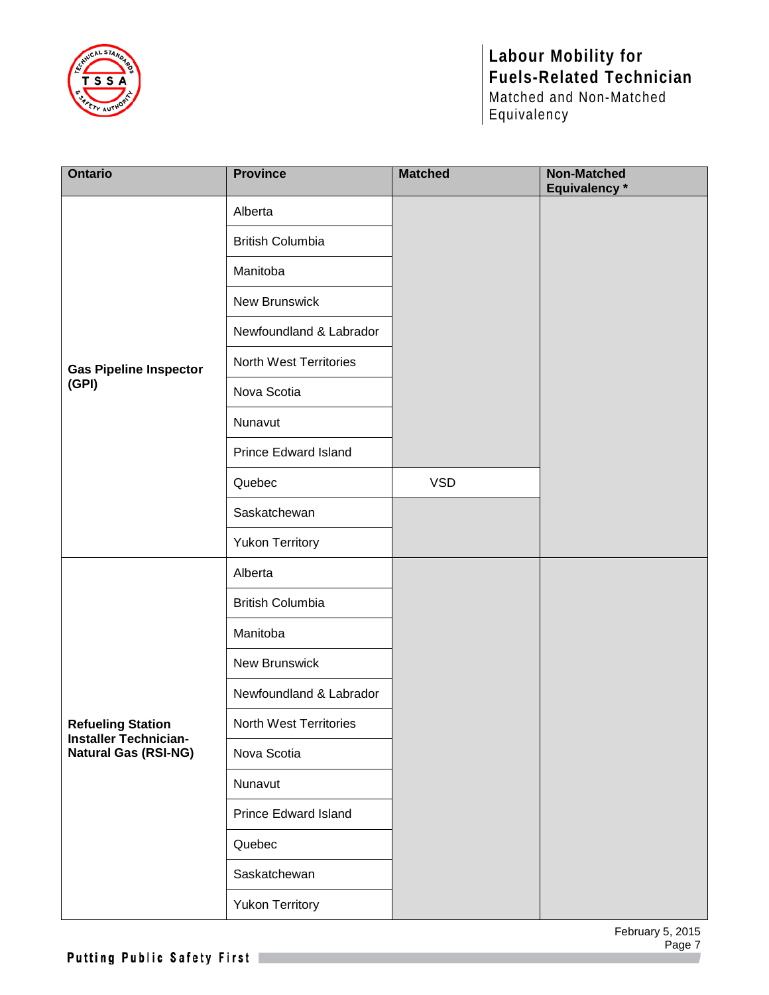

| <b>Ontario</b>                                              | <b>Province</b>               | <b>Matched</b> | <b>Non-Matched</b><br>Equivalency * |
|-------------------------------------------------------------|-------------------------------|----------------|-------------------------------------|
|                                                             | Alberta                       |                |                                     |
|                                                             | <b>British Columbia</b>       |                |                                     |
|                                                             | Manitoba                      |                |                                     |
|                                                             | New Brunswick                 |                |                                     |
|                                                             | Newfoundland & Labrador       |                |                                     |
| <b>Gas Pipeline Inspector</b>                               | <b>North West Territories</b> |                |                                     |
| (GPI)                                                       | Nova Scotia                   |                |                                     |
|                                                             | Nunavut                       |                |                                     |
|                                                             | <b>Prince Edward Island</b>   |                |                                     |
|                                                             | Quebec                        | <b>VSD</b>     |                                     |
|                                                             | Saskatchewan                  |                |                                     |
|                                                             | <b>Yukon Territory</b>        |                |                                     |
|                                                             | Alberta                       |                |                                     |
|                                                             | <b>British Columbia</b>       |                |                                     |
|                                                             | Manitoba                      |                |                                     |
|                                                             | New Brunswick                 |                |                                     |
|                                                             | Newfoundland & Labrador       |                |                                     |
| <b>Refueling Station</b>                                    | North West Territories        |                |                                     |
| <b>Installer Technician-</b><br><b>Natural Gas (RSI-NG)</b> | Nova Scotia                   |                |                                     |
|                                                             | Nunavut                       |                |                                     |
|                                                             | <b>Prince Edward Island</b>   |                |                                     |
|                                                             | Quebec                        |                |                                     |
|                                                             | Saskatchewan                  |                |                                     |
|                                                             | <b>Yukon Territory</b>        |                |                                     |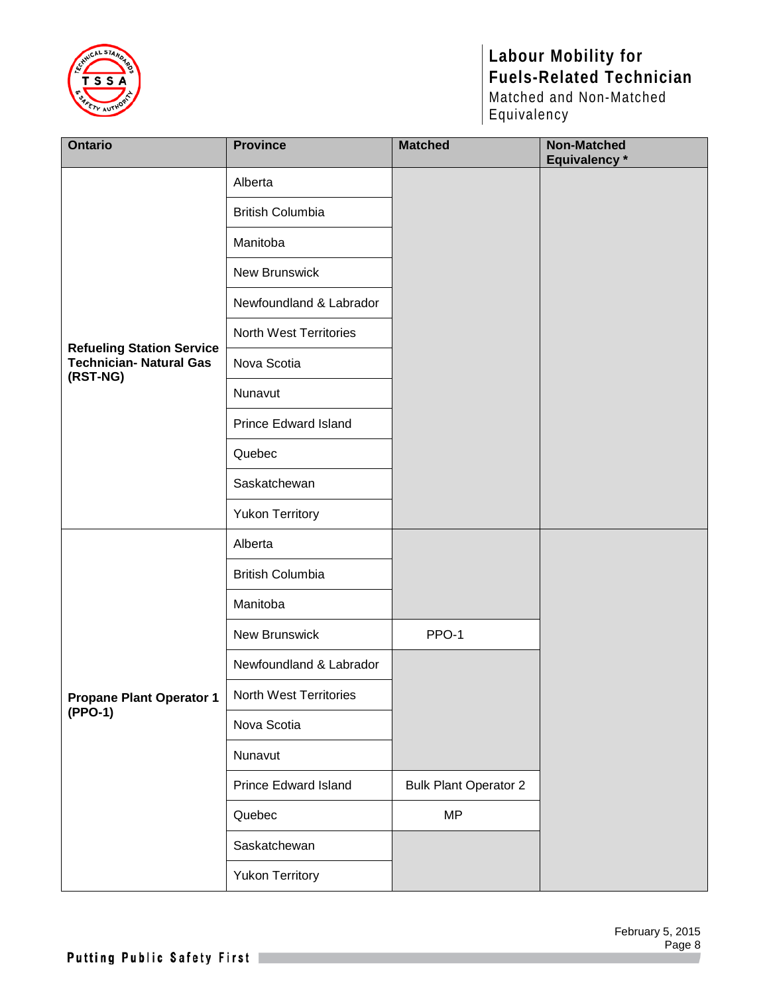

| <b>Ontario</b>                               | <b>Province</b>               | <b>Matched</b>               | <b>Non-Matched</b><br>Equivalency * |
|----------------------------------------------|-------------------------------|------------------------------|-------------------------------------|
|                                              | Alberta                       |                              |                                     |
|                                              | <b>British Columbia</b>       |                              |                                     |
|                                              | Manitoba                      |                              |                                     |
|                                              | <b>New Brunswick</b>          |                              |                                     |
|                                              | Newfoundland & Labrador       |                              |                                     |
| <b>Refueling Station Service</b>             | <b>North West Territories</b> |                              |                                     |
| <b>Technician- Natural Gas</b><br>(RST-NG)   | Nova Scotia                   |                              |                                     |
|                                              | Nunavut                       |                              |                                     |
|                                              | <b>Prince Edward Island</b>   |                              |                                     |
|                                              | Quebec                        |                              |                                     |
|                                              | Saskatchewan                  |                              |                                     |
|                                              | <b>Yukon Territory</b>        |                              |                                     |
|                                              | Alberta                       |                              |                                     |
|                                              | <b>British Columbia</b>       |                              |                                     |
|                                              | Manitoba                      |                              |                                     |
|                                              | <b>New Brunswick</b>          | PPO-1                        |                                     |
|                                              | Newfoundland & Labrador       |                              |                                     |
| <b>Propane Plant Operator 1</b><br>$(PPO-1)$ | <b>North West Territories</b> |                              |                                     |
|                                              | Nova Scotia                   |                              |                                     |
|                                              | Nunavut                       |                              |                                     |
|                                              | <b>Prince Edward Island</b>   | <b>Bulk Plant Operator 2</b> |                                     |
|                                              | Quebec                        | <b>MP</b>                    |                                     |
|                                              | Saskatchewan                  |                              |                                     |
|                                              | <b>Yukon Territory</b>        |                              |                                     |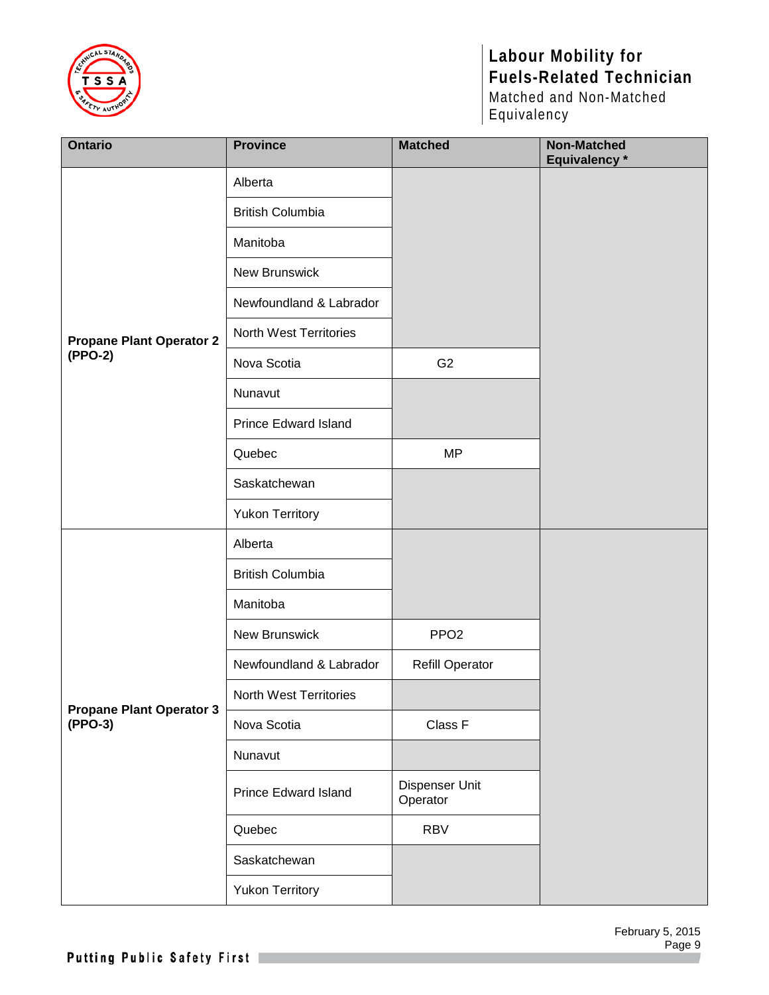

| <b>Ontario</b>                             | <b>Province</b>               | <b>Matched</b>             | <b>Non-Matched</b><br>Equivalency * |
|--------------------------------------------|-------------------------------|----------------------------|-------------------------------------|
|                                            | Alberta                       |                            |                                     |
|                                            | <b>British Columbia</b>       |                            |                                     |
|                                            | Manitoba                      |                            |                                     |
|                                            | New Brunswick                 |                            |                                     |
|                                            | Newfoundland & Labrador       |                            |                                     |
| <b>Propane Plant Operator 2</b>            | <b>North West Territories</b> |                            |                                     |
| (PPO-2)                                    | Nova Scotia                   | G <sub>2</sub>             |                                     |
|                                            | Nunavut                       |                            |                                     |
|                                            | <b>Prince Edward Island</b>   |                            |                                     |
|                                            | Quebec                        | <b>MP</b>                  |                                     |
|                                            | Saskatchewan                  |                            |                                     |
|                                            | <b>Yukon Territory</b>        |                            |                                     |
|                                            | Alberta                       |                            |                                     |
|                                            | <b>British Columbia</b>       |                            |                                     |
|                                            | Manitoba                      |                            |                                     |
|                                            | New Brunswick                 | PPO <sub>2</sub>           |                                     |
|                                            | Newfoundland & Labrador       | <b>Refill Operator</b>     |                                     |
| <b>Propane Plant Operator 3</b><br>(PPO-3) | North West Territories        |                            |                                     |
|                                            | Nova Scotia                   | Class F                    |                                     |
|                                            | Nunavut                       |                            |                                     |
|                                            | <b>Prince Edward Island</b>   | Dispenser Unit<br>Operator |                                     |
|                                            | Quebec                        | <b>RBV</b>                 |                                     |
|                                            | Saskatchewan                  |                            |                                     |
|                                            | <b>Yukon Territory</b>        |                            |                                     |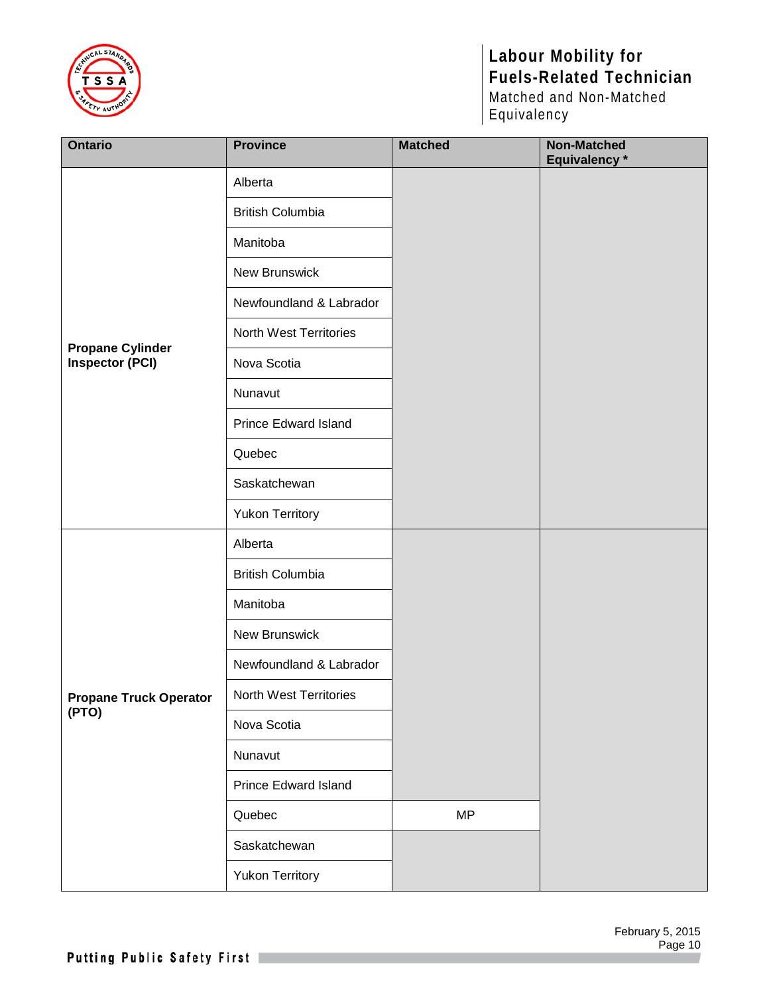

| <b>Ontario</b>                                    | <b>Province</b>               | <b>Matched</b> | <b>Non-Matched</b><br>Equivalency * |
|---------------------------------------------------|-------------------------------|----------------|-------------------------------------|
|                                                   | Alberta                       |                |                                     |
|                                                   | <b>British Columbia</b>       |                |                                     |
|                                                   | Manitoba                      |                |                                     |
|                                                   | <b>New Brunswick</b>          |                |                                     |
|                                                   | Newfoundland & Labrador       |                |                                     |
|                                                   | North West Territories        |                |                                     |
| <b>Propane Cylinder</b><br><b>Inspector (PCI)</b> | Nova Scotia                   |                |                                     |
|                                                   | Nunavut                       |                |                                     |
|                                                   | <b>Prince Edward Island</b>   |                |                                     |
|                                                   | Quebec                        |                |                                     |
|                                                   | Saskatchewan                  |                |                                     |
|                                                   | <b>Yukon Territory</b>        |                |                                     |
|                                                   | Alberta                       |                |                                     |
|                                                   | <b>British Columbia</b>       |                |                                     |
|                                                   | Manitoba                      |                |                                     |
|                                                   | New Brunswick                 |                |                                     |
|                                                   | Newfoundland & Labrador       |                |                                     |
| <b>Propane Truck Operator</b>                     | <b>North West Territories</b> |                |                                     |
| (PTO)                                             | Nova Scotia                   |                |                                     |
|                                                   | Nunavut                       |                |                                     |
|                                                   | <b>Prince Edward Island</b>   |                |                                     |
|                                                   | Quebec                        | <b>MP</b>      |                                     |
|                                                   | Saskatchewan                  |                |                                     |
|                                                   | <b>Yukon Territory</b>        |                |                                     |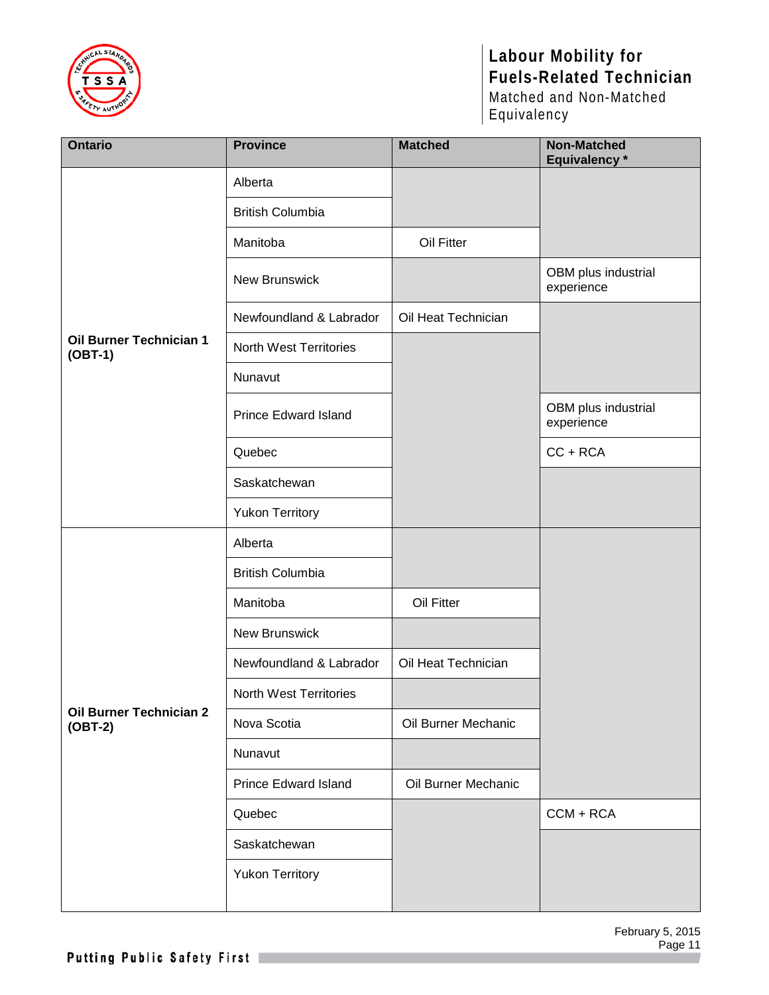

| <b>Ontario</b>                              | <b>Province</b>               | <b>Matched</b>      | <b>Non-Matched</b><br>Equivalency * |
|---------------------------------------------|-------------------------------|---------------------|-------------------------------------|
|                                             | Alberta                       |                     |                                     |
|                                             | <b>British Columbia</b>       |                     |                                     |
|                                             | Manitoba                      | Oil Fitter          |                                     |
|                                             | <b>New Brunswick</b>          |                     | OBM plus industrial<br>experience   |
|                                             | Newfoundland & Labrador       | Oil Heat Technician |                                     |
| Oil Burner Technician 1<br>$(OBT-1)$        | <b>North West Territories</b> |                     |                                     |
|                                             | Nunavut                       |                     |                                     |
|                                             | <b>Prince Edward Island</b>   |                     | OBM plus industrial<br>experience   |
|                                             | Quebec                        |                     | $CC + RCA$                          |
|                                             | Saskatchewan                  |                     |                                     |
|                                             | <b>Yukon Territory</b>        |                     |                                     |
|                                             | Alberta                       |                     |                                     |
|                                             | <b>British Columbia</b>       |                     |                                     |
|                                             | Manitoba                      | Oil Fitter          |                                     |
|                                             | New Brunswick                 |                     |                                     |
|                                             | Newfoundland & Labrador       | Oil Heat Technician |                                     |
|                                             | <b>North West Territories</b> |                     |                                     |
| <b>Oil Burner Technician 2</b><br>$(OBT-2)$ | Nova Scotia                   | Oil Burner Mechanic |                                     |
|                                             | Nunavut                       |                     |                                     |
|                                             | <b>Prince Edward Island</b>   | Oil Burner Mechanic |                                     |
|                                             | Quebec                        |                     | CCM + RCA                           |
|                                             | Saskatchewan                  |                     |                                     |
|                                             | <b>Yukon Territory</b>        |                     |                                     |
|                                             |                               |                     |                                     |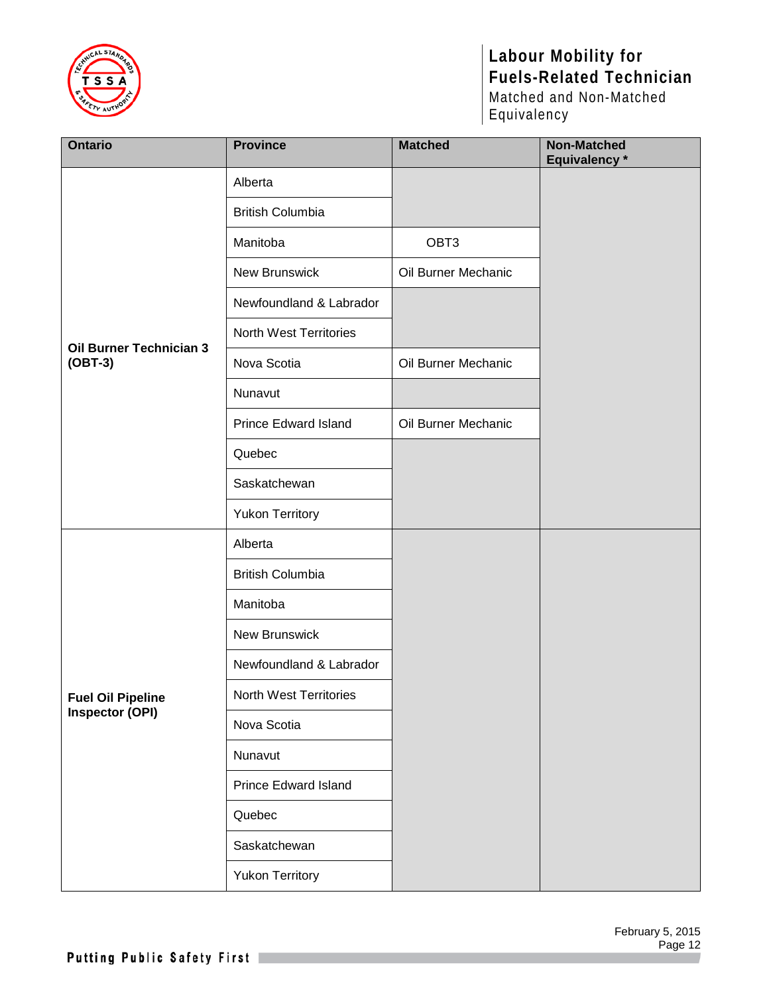

| <b>Ontario</b>           | <b>Province</b>               | <b>Matched</b>      | <b>Non-Matched</b><br>Equivalency * |
|--------------------------|-------------------------------|---------------------|-------------------------------------|
|                          | Alberta                       |                     |                                     |
|                          | <b>British Columbia</b>       |                     |                                     |
|                          | Manitoba                      | OBT <sub>3</sub>    |                                     |
|                          | New Brunswick                 | Oil Burner Mechanic |                                     |
|                          | Newfoundland & Labrador       |                     |                                     |
| Oil Burner Technician 3  | <b>North West Territories</b> |                     |                                     |
| $(OBT-3)$                | Nova Scotia                   | Oil Burner Mechanic |                                     |
|                          | Nunavut                       |                     |                                     |
|                          | <b>Prince Edward Island</b>   | Oil Burner Mechanic |                                     |
|                          | Quebec                        |                     |                                     |
|                          | Saskatchewan                  |                     |                                     |
|                          | <b>Yukon Territory</b>        |                     |                                     |
|                          | Alberta                       |                     |                                     |
|                          | <b>British Columbia</b>       |                     |                                     |
|                          | Manitoba                      |                     |                                     |
|                          | <b>New Brunswick</b>          |                     |                                     |
|                          | Newfoundland & Labrador       |                     |                                     |
| <b>Fuel Oil Pipeline</b> | <b>North West Territories</b> |                     |                                     |
| Inspector (OPI)          | Nova Scotia                   |                     |                                     |
|                          | Nunavut                       |                     |                                     |
|                          | <b>Prince Edward Island</b>   |                     |                                     |
|                          | Quebec                        |                     |                                     |
|                          | Saskatchewan                  |                     |                                     |
|                          | <b>Yukon Territory</b>        |                     |                                     |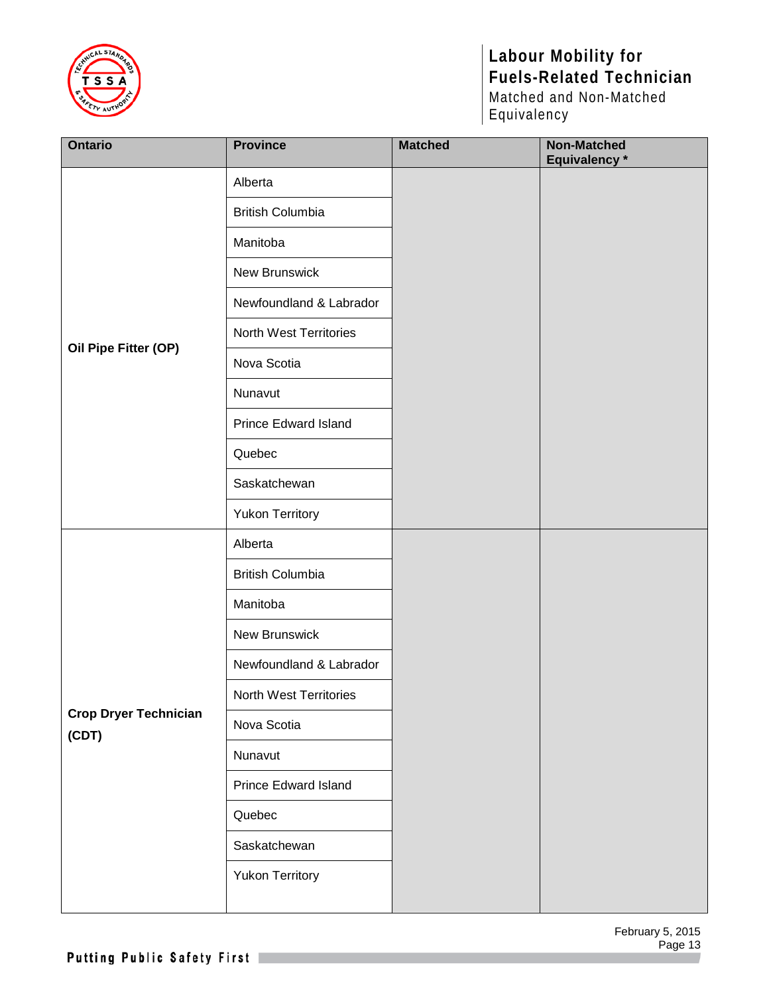

| <b>Ontario</b>                        | <b>Province</b>               | <b>Matched</b> | <b>Non-Matched</b><br>Equivalency * |
|---------------------------------------|-------------------------------|----------------|-------------------------------------|
|                                       | Alberta                       |                |                                     |
|                                       | <b>British Columbia</b>       |                |                                     |
|                                       | Manitoba                      |                |                                     |
|                                       | New Brunswick                 |                |                                     |
|                                       | Newfoundland & Labrador       |                |                                     |
|                                       | <b>North West Territories</b> |                |                                     |
| Oil Pipe Fitter (OP)                  | Nova Scotia                   |                |                                     |
|                                       | Nunavut                       |                |                                     |
|                                       | Prince Edward Island          |                |                                     |
|                                       | Quebec                        |                |                                     |
|                                       | Saskatchewan                  |                |                                     |
|                                       | <b>Yukon Territory</b>        |                |                                     |
|                                       | Alberta                       |                |                                     |
|                                       | <b>British Columbia</b>       |                |                                     |
|                                       | Manitoba                      |                |                                     |
|                                       | New Brunswick                 |                |                                     |
|                                       | Newfoundland & Labrador       |                |                                     |
|                                       | <b>North West Territories</b> |                |                                     |
| <b>Crop Dryer Technician</b><br>(CDT) | Nova Scotia                   |                |                                     |
|                                       | Nunavut                       |                |                                     |
|                                       | <b>Prince Edward Island</b>   |                |                                     |
|                                       | Quebec                        |                |                                     |
|                                       | Saskatchewan                  |                |                                     |
|                                       | <b>Yukon Territory</b>        |                |                                     |
|                                       |                               |                |                                     |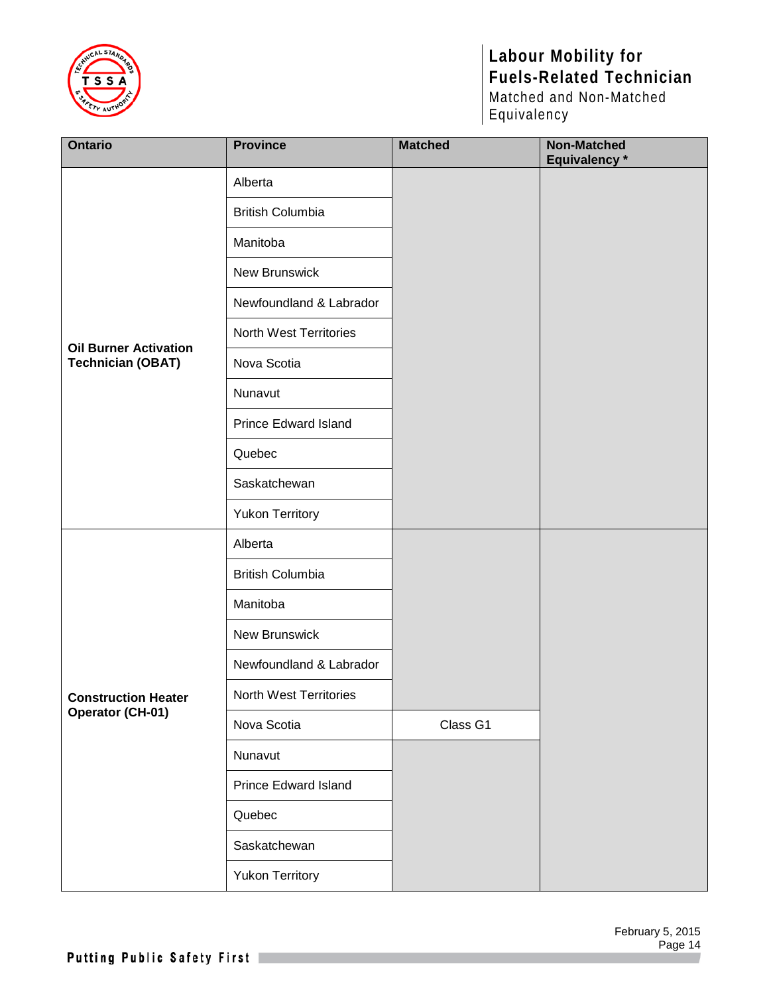

| <b>Ontario</b>                                 | <b>Province</b>               | <b>Matched</b> | <b>Non-Matched</b><br>Equivalency * |
|------------------------------------------------|-------------------------------|----------------|-------------------------------------|
|                                                | Alberta                       |                |                                     |
|                                                | <b>British Columbia</b>       |                |                                     |
|                                                | Manitoba                      |                |                                     |
|                                                | <b>New Brunswick</b>          |                |                                     |
|                                                | Newfoundland & Labrador       |                |                                     |
| <b>Oil Burner Activation</b>                   | <b>North West Territories</b> |                |                                     |
| <b>Technician (OBAT)</b>                       | Nova Scotia                   |                |                                     |
|                                                | Nunavut                       |                |                                     |
|                                                | <b>Prince Edward Island</b>   |                |                                     |
|                                                | Quebec                        |                |                                     |
|                                                | Saskatchewan                  |                |                                     |
|                                                | <b>Yukon Territory</b>        |                |                                     |
|                                                | Alberta                       |                |                                     |
|                                                | <b>British Columbia</b>       |                |                                     |
|                                                | Manitoba                      |                |                                     |
|                                                | New Brunswick                 |                |                                     |
|                                                | Newfoundland & Labrador       |                |                                     |
| <b>Construction Heater</b><br>Operator (CH-01) | <b>North West Territories</b> |                |                                     |
|                                                | Nova Scotia                   | Class G1       |                                     |
|                                                | Nunavut                       |                |                                     |
|                                                | <b>Prince Edward Island</b>   |                |                                     |
|                                                | Quebec                        |                |                                     |
|                                                | Saskatchewan                  |                |                                     |
|                                                | <b>Yukon Territory</b>        |                |                                     |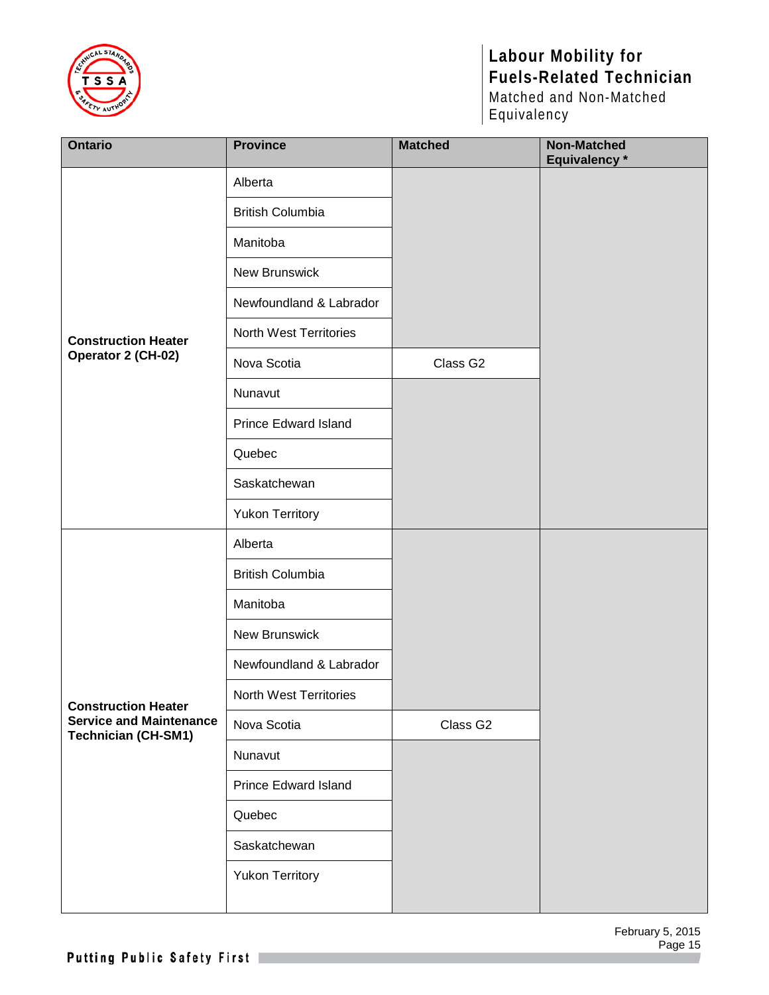

| <b>Ontario</b>                                                                             | <b>Province</b>               | <b>Matched</b> | <b>Non-Matched</b><br>Equivalency * |
|--------------------------------------------------------------------------------------------|-------------------------------|----------------|-------------------------------------|
|                                                                                            | Alberta                       |                |                                     |
|                                                                                            | <b>British Columbia</b>       |                |                                     |
|                                                                                            | Manitoba                      |                |                                     |
|                                                                                            | New Brunswick                 |                |                                     |
|                                                                                            | Newfoundland & Labrador       |                |                                     |
| <b>Construction Heater</b>                                                                 | <b>North West Territories</b> |                |                                     |
| Operator 2 (CH-02)                                                                         | Nova Scotia                   | Class G2       |                                     |
|                                                                                            | Nunavut                       |                |                                     |
|                                                                                            | <b>Prince Edward Island</b>   |                |                                     |
|                                                                                            | Quebec                        |                |                                     |
|                                                                                            | Saskatchewan                  |                |                                     |
|                                                                                            | <b>Yukon Territory</b>        |                |                                     |
|                                                                                            | Alberta                       |                |                                     |
|                                                                                            | <b>British Columbia</b>       |                |                                     |
|                                                                                            | Manitoba                      |                |                                     |
|                                                                                            | <b>New Brunswick</b>          |                |                                     |
|                                                                                            | Newfoundland & Labrador       |                |                                     |
| <b>Construction Heater</b><br><b>Service and Maintenance</b><br><b>Technician (CH-SM1)</b> | North West Territories        |                |                                     |
|                                                                                            | Nova Scotia                   | Class G2       |                                     |
|                                                                                            | Nunavut                       |                |                                     |
|                                                                                            | <b>Prince Edward Island</b>   |                |                                     |
|                                                                                            | Quebec                        |                |                                     |
|                                                                                            | Saskatchewan                  |                |                                     |
|                                                                                            | <b>Yukon Territory</b>        |                |                                     |
|                                                                                            |                               |                |                                     |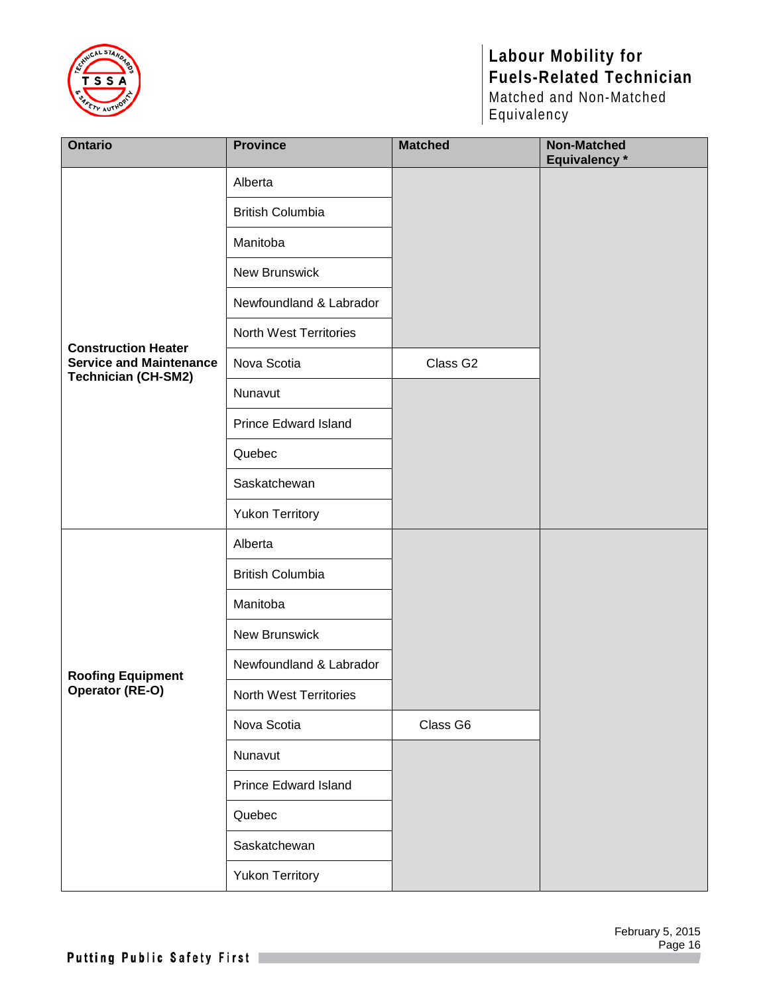

| <b>Ontario</b>                                               | <b>Province</b>               | <b>Matched</b> | <b>Non-Matched</b><br>Equivalency * |
|--------------------------------------------------------------|-------------------------------|----------------|-------------------------------------|
|                                                              | Alberta                       |                |                                     |
|                                                              | <b>British Columbia</b>       |                |                                     |
|                                                              | Manitoba                      |                |                                     |
|                                                              | New Brunswick                 |                |                                     |
|                                                              | Newfoundland & Labrador       |                |                                     |
| <b>Construction Heater</b>                                   | <b>North West Territories</b> |                |                                     |
| <b>Service and Maintenance</b><br><b>Technician (CH-SM2)</b> | Nova Scotia                   | Class G2       |                                     |
|                                                              | Nunavut                       |                |                                     |
|                                                              | <b>Prince Edward Island</b>   |                |                                     |
|                                                              | Quebec                        |                |                                     |
|                                                              | Saskatchewan                  |                |                                     |
|                                                              | <b>Yukon Territory</b>        |                |                                     |
|                                                              | Alberta                       |                |                                     |
|                                                              | <b>British Columbia</b>       |                |                                     |
|                                                              | Manitoba                      |                |                                     |
|                                                              | New Brunswick                 |                |                                     |
| <b>Roofing Equipment</b>                                     | Newfoundland & Labrador       |                |                                     |
| Operator (RE-O)                                              | North West Territories        |                |                                     |
|                                                              | Nova Scotia                   | Class G6       |                                     |
|                                                              | Nunavut                       |                |                                     |
|                                                              | <b>Prince Edward Island</b>   |                |                                     |
|                                                              | Quebec                        |                |                                     |
|                                                              | Saskatchewan                  |                |                                     |
|                                                              | <b>Yukon Territory</b>        |                |                                     |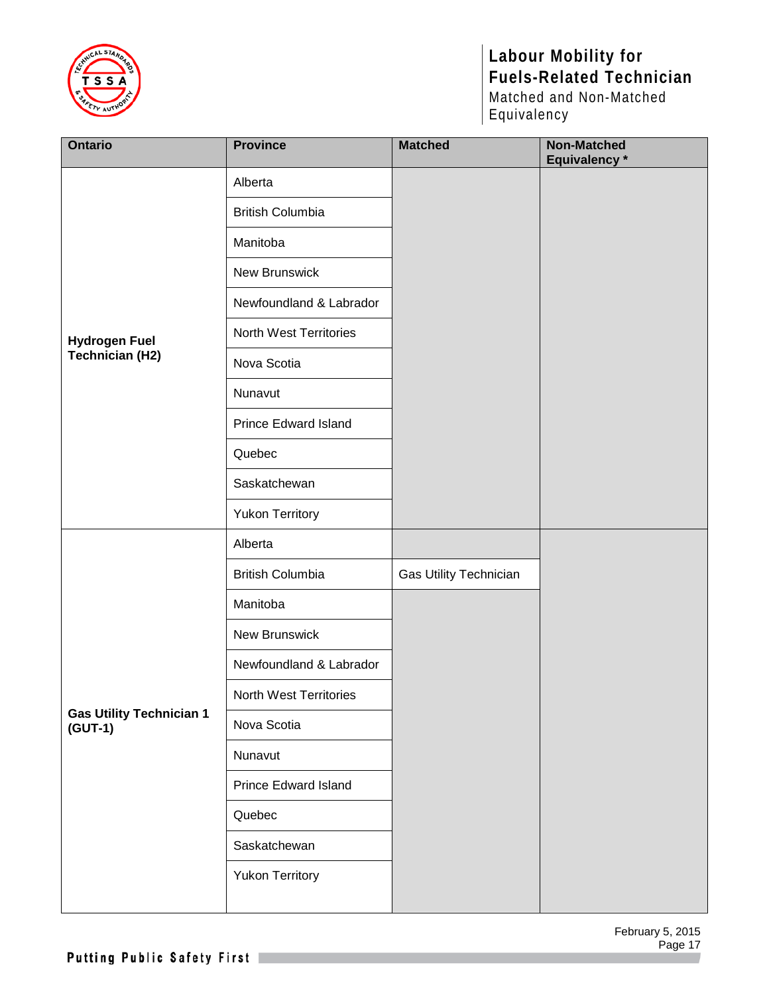

| <b>Ontario</b>                               | <b>Province</b>               | <b>Matched</b>                | <b>Non-Matched</b><br>Equivalency * |
|----------------------------------------------|-------------------------------|-------------------------------|-------------------------------------|
|                                              | Alberta                       |                               |                                     |
|                                              | <b>British Columbia</b>       |                               |                                     |
|                                              | Manitoba                      |                               |                                     |
|                                              | New Brunswick                 |                               |                                     |
|                                              | Newfoundland & Labrador       |                               |                                     |
| <b>Hydrogen Fuel</b>                         | <b>North West Territories</b> |                               |                                     |
| <b>Technician (H2)</b>                       | Nova Scotia                   |                               |                                     |
|                                              | Nunavut                       |                               |                                     |
|                                              | <b>Prince Edward Island</b>   |                               |                                     |
|                                              | Quebec                        |                               |                                     |
|                                              | Saskatchewan                  |                               |                                     |
|                                              | <b>Yukon Territory</b>        |                               |                                     |
|                                              | Alberta                       |                               |                                     |
|                                              | <b>British Columbia</b>       | <b>Gas Utility Technician</b> |                                     |
|                                              | Manitoba                      |                               |                                     |
|                                              | New Brunswick                 |                               |                                     |
|                                              | Newfoundland & Labrador       |                               |                                     |
|                                              | <b>North West Territories</b> |                               |                                     |
| <b>Gas Utility Technician 1</b><br>$(GUT-1)$ | Nova Scotia                   |                               |                                     |
|                                              | Nunavut                       |                               |                                     |
|                                              | <b>Prince Edward Island</b>   |                               |                                     |
|                                              | Quebec                        |                               |                                     |
|                                              | Saskatchewan                  |                               |                                     |
|                                              | <b>Yukon Territory</b>        |                               |                                     |
|                                              |                               |                               |                                     |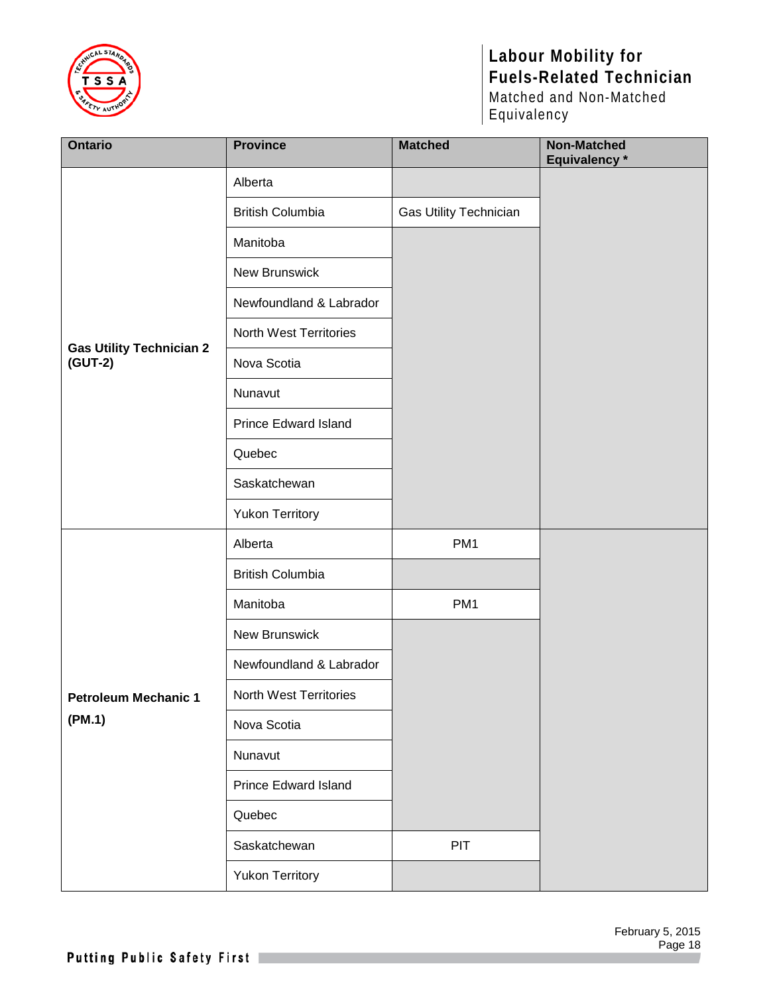

| <b>Ontario</b>                               | <b>Province</b>               | <b>Matched</b>                | <b>Non-Matched</b><br>Equivalency * |
|----------------------------------------------|-------------------------------|-------------------------------|-------------------------------------|
|                                              | Alberta                       |                               |                                     |
|                                              | <b>British Columbia</b>       | <b>Gas Utility Technician</b> |                                     |
|                                              | Manitoba                      |                               |                                     |
|                                              | <b>New Brunswick</b>          |                               |                                     |
|                                              | Newfoundland & Labrador       |                               |                                     |
|                                              | <b>North West Territories</b> |                               |                                     |
| <b>Gas Utility Technician 2</b><br>$(GUT-2)$ | Nova Scotia                   |                               |                                     |
|                                              | Nunavut                       |                               |                                     |
|                                              | <b>Prince Edward Island</b>   |                               |                                     |
|                                              | Quebec                        |                               |                                     |
|                                              | Saskatchewan                  |                               |                                     |
|                                              | <b>Yukon Territory</b>        |                               |                                     |
|                                              | Alberta                       | PM <sub>1</sub>               |                                     |
|                                              | <b>British Columbia</b>       |                               |                                     |
|                                              | Manitoba                      | PM <sub>1</sub>               |                                     |
|                                              | New Brunswick                 |                               |                                     |
|                                              | Newfoundland & Labrador       |                               |                                     |
| <b>Petroleum Mechanic 1</b><br>(PM.1)        | <b>North West Territories</b> |                               |                                     |
|                                              | Nova Scotia                   |                               |                                     |
|                                              | Nunavut                       |                               |                                     |
|                                              | <b>Prince Edward Island</b>   |                               |                                     |
|                                              | Quebec                        |                               |                                     |
|                                              | Saskatchewan                  | <b>PIT</b>                    |                                     |
|                                              | <b>Yukon Territory</b>        |                               |                                     |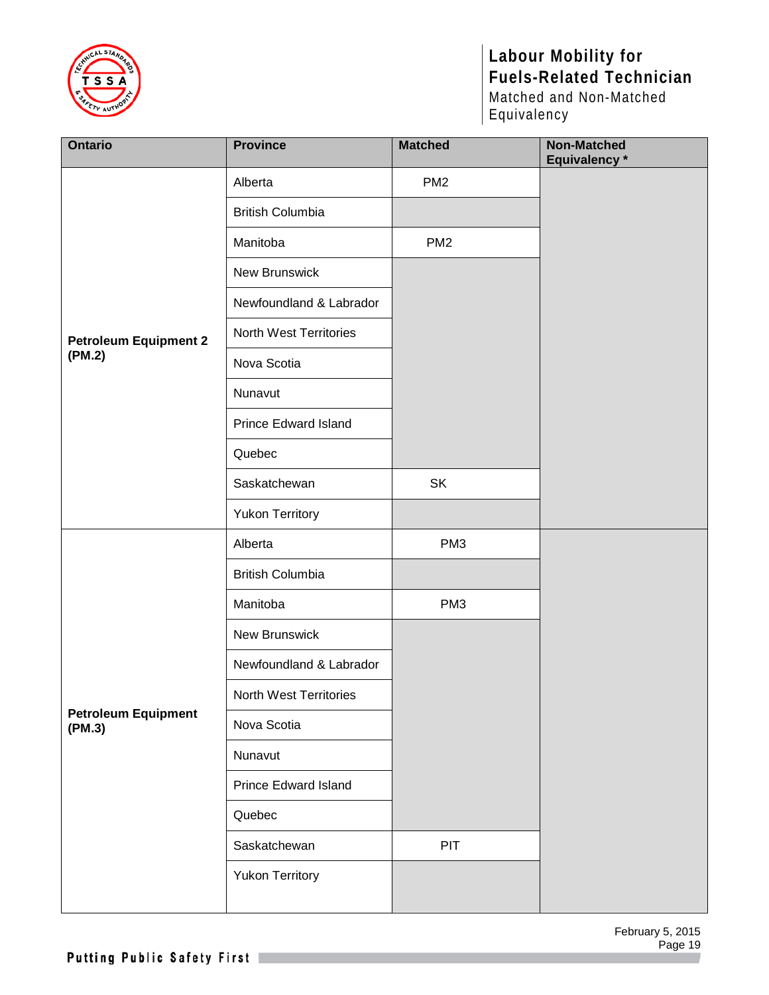

| <b>Ontario</b>                       | <b>Province</b>               | <b>Matched</b>  | <b>Non-Matched</b><br>Equivalency * |
|--------------------------------------|-------------------------------|-----------------|-------------------------------------|
|                                      | Alberta                       | PM <sub>2</sub> |                                     |
|                                      | <b>British Columbia</b>       |                 |                                     |
|                                      | Manitoba                      | PM <sub>2</sub> |                                     |
|                                      | New Brunswick                 |                 |                                     |
|                                      | Newfoundland & Labrador       |                 |                                     |
| <b>Petroleum Equipment 2</b>         | <b>North West Territories</b> |                 |                                     |
| (PM.2)                               | Nova Scotia                   |                 |                                     |
|                                      | Nunavut                       |                 |                                     |
|                                      | <b>Prince Edward Island</b>   |                 |                                     |
|                                      | Quebec                        |                 |                                     |
|                                      | Saskatchewan                  | <b>SK</b>       |                                     |
|                                      | <b>Yukon Territory</b>        |                 |                                     |
|                                      | Alberta                       | PM <sub>3</sub> |                                     |
|                                      | <b>British Columbia</b>       |                 |                                     |
|                                      | Manitoba                      | PM <sub>3</sub> |                                     |
|                                      | New Brunswick                 |                 |                                     |
|                                      | Newfoundland & Labrador       |                 |                                     |
|                                      | <b>North West Territories</b> |                 |                                     |
| <b>Petroleum Equipment</b><br>(PM.3) | Nova Scotia                   |                 |                                     |
|                                      | Nunavut                       |                 |                                     |
|                                      | <b>Prince Edward Island</b>   |                 |                                     |
|                                      | Quebec                        |                 |                                     |
|                                      | Saskatchewan                  | PIT             |                                     |
|                                      | <b>Yukon Territory</b>        |                 |                                     |
|                                      |                               |                 |                                     |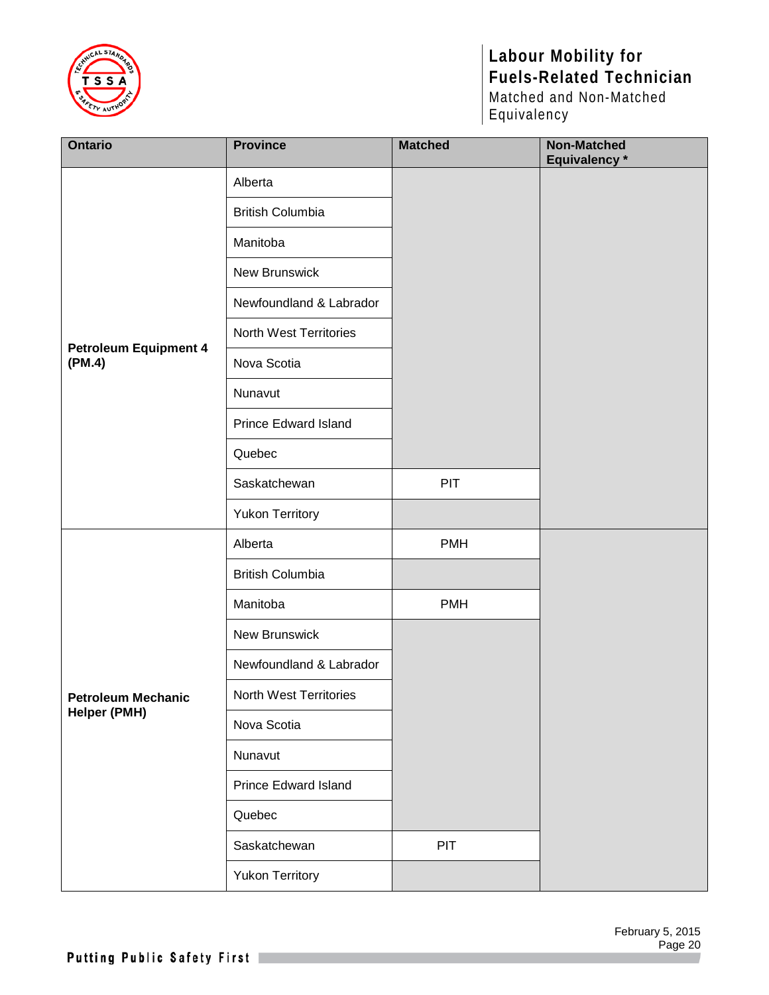

| <b>Ontario</b>               | <b>Province</b>               | <b>Matched</b> | <b>Non-Matched</b><br>Equivalency * |
|------------------------------|-------------------------------|----------------|-------------------------------------|
|                              | Alberta                       |                |                                     |
|                              | <b>British Columbia</b>       |                |                                     |
|                              | Manitoba                      |                |                                     |
|                              | New Brunswick                 |                |                                     |
|                              | Newfoundland & Labrador       |                |                                     |
| <b>Petroleum Equipment 4</b> | <b>North West Territories</b> |                |                                     |
| (PM.4)                       | Nova Scotia                   |                |                                     |
|                              | Nunavut                       |                |                                     |
|                              | <b>Prince Edward Island</b>   |                |                                     |
|                              | Quebec                        |                |                                     |
|                              | Saskatchewan                  | PIT            |                                     |
|                              | <b>Yukon Territory</b>        |                |                                     |
|                              | Alberta                       | <b>PMH</b>     |                                     |
|                              | <b>British Columbia</b>       |                |                                     |
|                              | Manitoba                      | <b>PMH</b>     |                                     |
|                              | New Brunswick                 |                |                                     |
|                              | Newfoundland & Labrador       |                |                                     |
| <b>Petroleum Mechanic</b>    | <b>North West Territories</b> |                |                                     |
| Helper (PMH)                 | Nova Scotia                   |                |                                     |
|                              | Nunavut                       |                |                                     |
|                              | <b>Prince Edward Island</b>   |                |                                     |
|                              | Quebec                        |                |                                     |
|                              | Saskatchewan                  | PIT            |                                     |
|                              | <b>Yukon Territory</b>        |                |                                     |